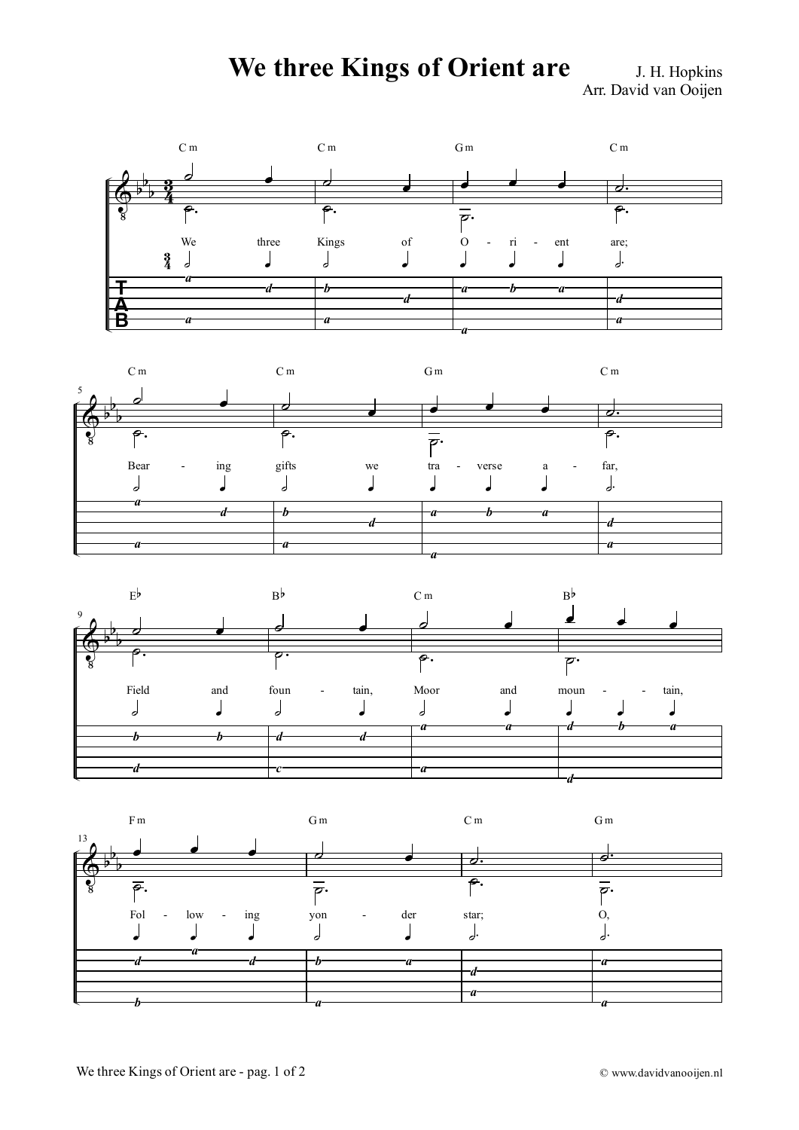## **We three Kings of Orient are** J. H. Hopkins

Arr. David van Ooijen